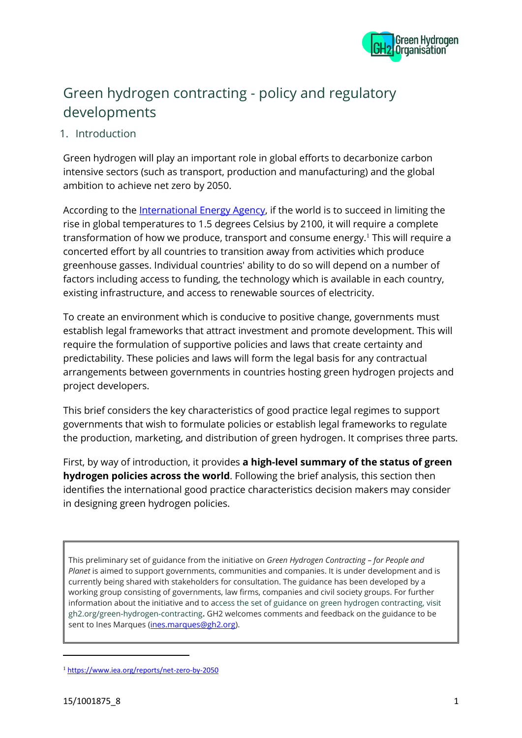

# Green hydrogen contracting - policy and regulatory developments

### 1. Introduction

Green hydrogen will play an important role in global efforts to decarbonize carbon intensive sectors (such as transport, production and manufacturing) and the global ambition to achieve net zero by 2050.

According to the [International Energy Agency,](https://www.iea.org/reports/net-zero-by-2050) if the world is to succeed in limiting the rise in global temperatures to 1.5 degrees Celsius by 2100, it will require a complete transformation of how we produce, transport and consume energy.<sup>1</sup> This will require a concerted effort by all countries to transition away from activities which produce greenhouse gasses. Individual countries' ability to do so will depend on a number of factors including access to funding, the technology which is available in each country, existing infrastructure, and access to renewable sources of electricity.

To create an environment which is conducive to positive change, governments must establish legal frameworks that attract investment and promote development. This will require the formulation of supportive policies and laws that create certainty and predictability. These policies and laws will form the legal basis for any contractual arrangements between governments in countries hosting green hydrogen projects and project developers.

This brief considers the key characteristics of good practice legal regimes to support governments that wish to formulate policies or establish legal frameworks to regulate the production, marketing, and distribution of green hydrogen. It comprises three parts.

First, by way of introduction, it provides **a high-level summary of the status of green hydrogen policies across the world**. Following the brief analysis, this section then identifies the international good practice characteristics decision makers may consider in designing green hydrogen policies.

This preliminary set of guidance from the initiative on *Green Hydrogen Contracting – for People and Planet* is aimed to support governments, communities and companies. It is under development and is currently being shared with stakeholders for consultation. The guidance has been developed by a working group consisting of governments, law firms, companies and civil society groups. For further information about the initiative and to access the set of guidance on green hydrogen contracting, visit gh2.org/green-hydrogen-contracting**.** GH2 welcomes comments and feedback on the guidance to be sent to Ines Marques [\(ines.marques@gh2.org\)](mailto:ines.marques@gh2.org).

<sup>1</sup> <https://www.iea.org/reports/net-zero-by-2050>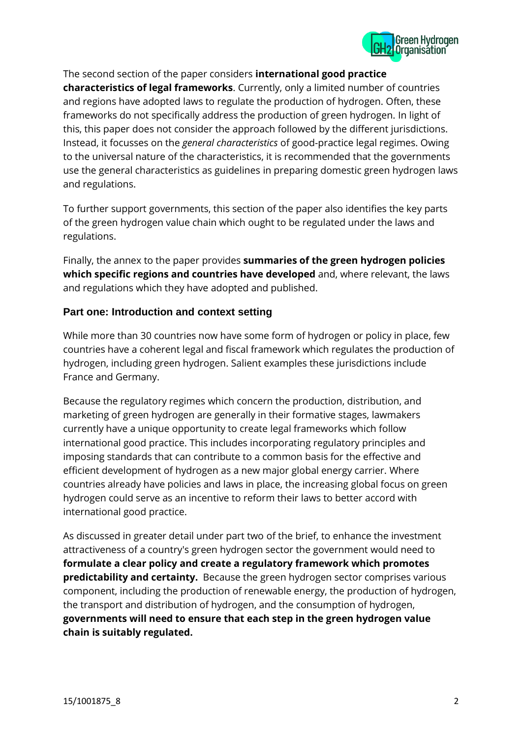

The second section of the paper considers **international good practice**

**characteristics of legal frameworks**. Currently, only a limited number of countries and regions have adopted laws to regulate the production of hydrogen. Often, these frameworks do not specifically address the production of green hydrogen. In light of this, this paper does not consider the approach followed by the different jurisdictions. Instead, it focusses on the *general characteristics* of good-practice legal regimes. Owing to the universal nature of the characteristics, it is recommended that the governments use the general characteristics as guidelines in preparing domestic green hydrogen laws and regulations.

To further support governments, this section of the paper also identifies the key parts of the green hydrogen value chain which ought to be regulated under the laws and regulations.

Finally, the annex to the paper provides **summaries of the green hydrogen policies which specific regions and countries have developed** and, where relevant, the laws and regulations which they have adopted and published.

#### **Part one: Introduction and context setting**

While more than 30 countries now have some form of hydrogen or policy in place, few countries have a coherent legal and fiscal framework which regulates the production of hydrogen, including green hydrogen. Salient examples these jurisdictions include France and Germany.

Because the regulatory regimes which concern the production, distribution, and marketing of green hydrogen are generally in their formative stages, lawmakers currently have a unique opportunity to create legal frameworks which follow international good practice. This includes incorporating regulatory principles and imposing standards that can contribute to a common basis for the effective and efficient development of hydrogen as a new major global energy carrier. Where countries already have policies and laws in place, the increasing global focus on green hydrogen could serve as an incentive to reform their laws to better accord with international good practice.

As discussed in greater detail under part two of the brief, to enhance the investment attractiveness of a country's green hydrogen sector the government would need to **formulate a clear policy and create a regulatory framework which promotes predictability and certainty.** Because the green hydrogen sector comprises various component, including the production of renewable energy, the production of hydrogen, the transport and distribution of hydrogen, and the consumption of hydrogen, **governments will need to ensure that each step in the green hydrogen value chain is suitably regulated.**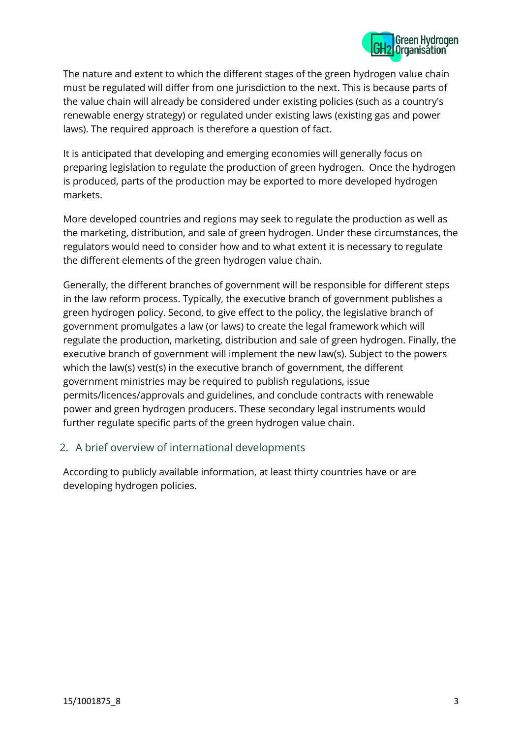

The nature and extent to which the different stages of the green hydrogen value chain must be regulated will differ from one jurisdiction to the next. This is because parts of the value chain will already be considered under existing policies (such as a country's renewable energy strategy) or regulated under existing laws (existing gas and power laws). The required approach is therefore a question of fact.

It is anticipated that developing and emerging economies will generally focus on preparing legislation to regulate the production of green hydrogen. Once the hydrogen is produced, parts of the production may be exported to more developed hydrogen markets.

More developed countries and regions may seek to regulate the production as well as the marketing, distribution, and sale of green hydrogen. Under these circumstances, the regulators would need to consider how and to what extent it is necessary to regulate the different elements of the green hydrogen value chain.

Generally, the different branches of government will be responsible for different steps in the law reform process. Typically, the executive branch of government publishes a green hydrogen policy. Second, to give effect to the policy, the legislative branch of government promulgates a law (or laws) to create the legal framework which will regulate the production, marketing, distribution and sale of green hydrogen. Finally, the executive branch of government will implement the new law(s). Subject to the powers which the law(s) vest(s) in the executive branch of government, the different government ministries may be required to publish regulations, issue permits/licences/approvals and guidelines, and conclude contracts with renewable power and green hydrogen producers. These secondary legal instruments would further regulate specific parts of the green hydrogen value chain.

#### 2. A brief overview of international developments

According to publicly available information, at least thirty countries have or are developing hydrogen policies.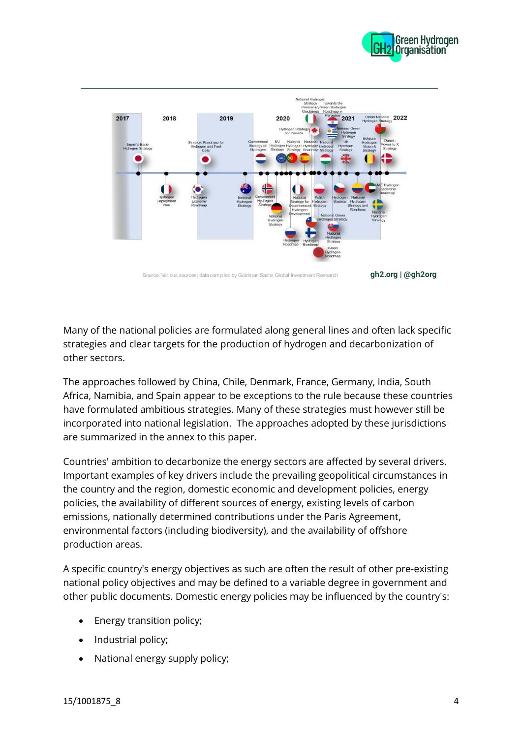



Many of the national policies are formulated along general lines and often lack specific strategies and clear targets for the production of hydrogen and decarbonization of other sectors.

The approaches followed by China, Chile, Denmark, France, Germany, India, South Africa, Namibia, and Spain appear to be exceptions to the rule because these countries have formulated ambitious strategies. Many of these strategies must however still be incorporated into national legislation. The approaches adopted by these jurisdictions are summarized in the annex to this paper.

Countries' ambition to decarbonize the energy sectors are affected by several drivers. Important examples of key drivers include the prevailing geopolitical circumstances in the country and the region, domestic economic and development policies, energy policies, the availability of different sources of energy, existing levels of carbon emissions, nationally determined contributions under the Paris Agreement, environmental factors (including biodiversity), and the availability of offshore production areas.

A specific country's energy objectives as such are often the result of other pre-existing national policy objectives and may be defined to a variable degree in government and other public documents. Domestic energy policies may be influenced by the country's:

- Energy transition policy;
- Industrial policy;
- National energy supply policy;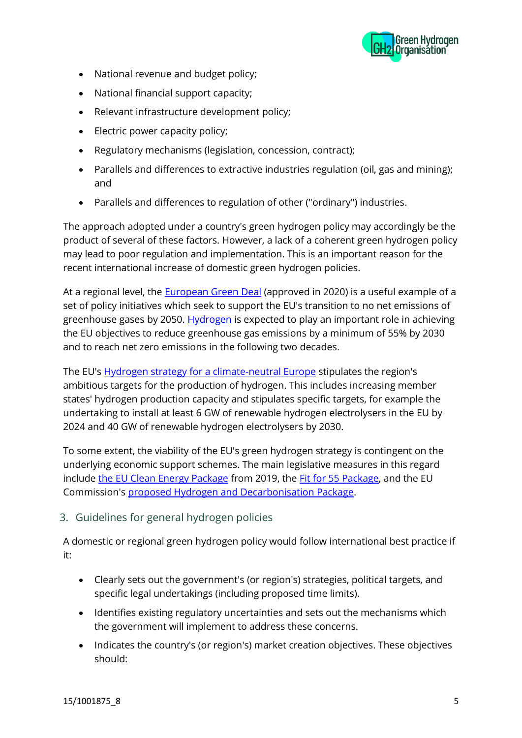

- National revenue and budget policy;
- National financial support capacity;
- Relevant infrastructure development policy;
- Electric power capacity policy;
- Regulatory mechanisms (legislation, concession, contract);
- Parallels and differences to extractive industries regulation (oil, gas and mining); and
- Parallels and differences to regulation of other ("ordinary") industries.

The approach adopted under a country's green hydrogen policy may accordingly be the product of several of these factors. However, a lack of a coherent green hydrogen policy may lead to poor regulation and implementation. This is an important reason for the recent international increase of domestic green hydrogen policies.

At a regional level, the **European Green Deal** (approved in 2020) is a useful example of a set of policy initiatives which seek to support the EU's transition to no net emissions of greenhouse gases by 2050. [Hydrogen](https://ec.europa.eu/growth/industry/strategy/hydrogen_en#:~:text=Hydrogen%20is%20expected%20to%20play,to%20contribute%20to%20climate%20neutrality.) is expected to play an important role in achieving the EU objectives to reduce greenhouse gas emissions by a minimum of 55% by 2030 and to reach net zero emissions in the following two decades.

The EU's **Hydrogen strategy for a climate-neutral Europe** stipulates the region's ambitious targets for the production of hydrogen. This includes increasing member states' hydrogen production capacity and stipulates specific targets, for example the undertaking to install at least 6 GW of renewable hydrogen electrolysers in the EU by 2024 and 40 GW of renewable hydrogen electrolysers by 2030.

To some extent, the viability of the EU's green hydrogen strategy is contingent on the underlying economic support schemes. The main legislative measures in this regard include [the EU Clean Energy Package](https://energy.ec.europa.eu/topics/energy-strategy/clean-energy-all-europeans-package_en) from 2019, the Fit for [55 Package,](https://www.consilium.europa.eu/en/policies/green-deal/fit-for-55-the-eu-plan-for-a-green-transition/) and the EU Commission's [proposed Hydrogen and Decarbonisation Package.](https://ec.europa.eu/commission/presscorner/detail/en/IP_21_6682)

#### 3. Guidelines for general hydrogen policies

A domestic or regional green hydrogen policy would follow international best practice if it:

- Clearly sets out the government's (or region's) strategies, political targets, and specific legal undertakings (including proposed time limits).
- Identifies existing regulatory uncertainties and sets out the mechanisms which the government will implement to address these concerns.
- Indicates the country's (or region's) market creation objectives. These objectives should: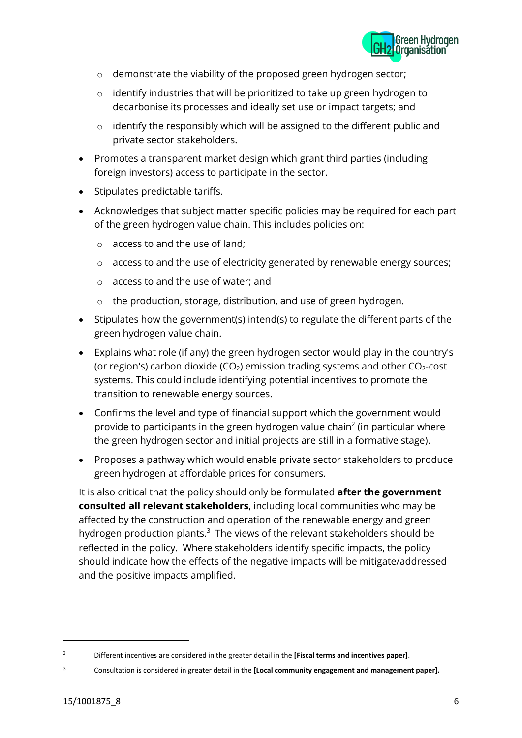

- o demonstrate the viability of the proposed green hydrogen sector;
- o identify industries that will be prioritized to take up green hydrogen to decarbonise its processes and ideally set use or impact targets; and
- o identify the responsibly which will be assigned to the different public and private sector stakeholders.
- Promotes a transparent market design which grant third parties (including foreign investors) access to participate in the sector.
- Stipulates predictable tariffs.
- Acknowledges that subject matter specific policies may be required for each part of the green hydrogen value chain. This includes policies on:
	- o access to and the use of land;
	- o access to and the use of electricity generated by renewable energy sources;
	- o access to and the use of water; and
	- o the production, storage, distribution, and use of green hydrogen.
- Stipulates how the government(s) intend(s) to regulate the different parts of the green hydrogen value chain.
- Explains what role (if any) the green hydrogen sector would play in the country's (or region's) carbon dioxide (CO<sub>2</sub>) emission trading systems and other CO<sub>2</sub>-cost systems. This could include identifying potential incentives to promote the transition to renewable energy sources.
- Confirms the level and type of financial support which the government would provide to participants in the green hydrogen value chain<sup>2</sup> (in particular where the green hydrogen sector and initial projects are still in a formative stage).
- Proposes a pathway which would enable private sector stakeholders to produce green hydrogen at affordable prices for consumers.

It is also critical that the policy should only be formulated **after the government consulted all relevant stakeholders**, including local communities who may be affected by the construction and operation of the renewable energy and green hydrogen production plants.<sup>3</sup> The views of the relevant stakeholders should be reflected in the policy. Where stakeholders identify specific impacts, the policy should indicate how the effects of the negative impacts will be mitigate/addressed and the positive impacts amplified.

<sup>2</sup> Different incentives are considered in the greater detail in the **[Fiscal terms and incentives paper]**.

<sup>3</sup> Consultation is considered in greater detail in the **[Local community engagement and management paper].**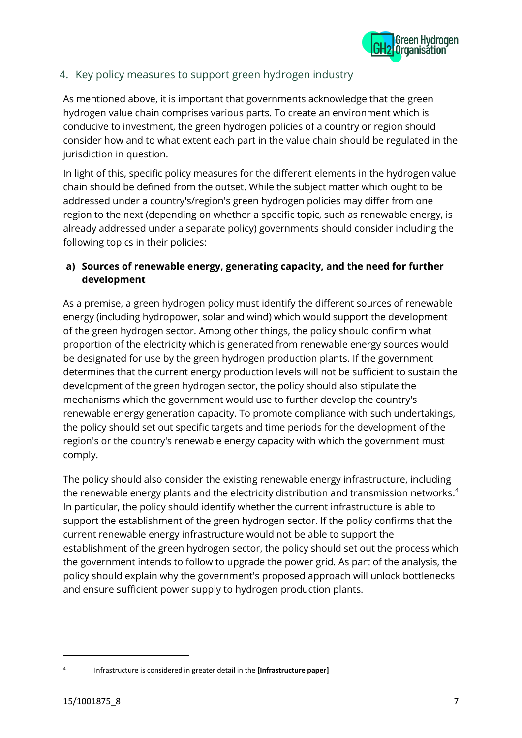

## 4. Key policy measures to support green hydrogen industry

As mentioned above, it is important that governments acknowledge that the green hydrogen value chain comprises various parts. To create an environment which is conducive to investment, the green hydrogen policies of a country or region should consider how and to what extent each part in the value chain should be regulated in the jurisdiction in question.

In light of this, specific policy measures for the different elements in the hydrogen value chain should be defined from the outset. While the subject matter which ought to be addressed under a country's/region's green hydrogen policies may differ from one region to the next (depending on whether a specific topic, such as renewable energy, is already addressed under a separate policy) governments should consider including the following topics in their policies:

### **a) Sources of renewable energy, generating capacity, and the need for further development**

As a premise, a green hydrogen policy must identify the different sources of renewable energy (including hydropower, solar and wind) which would support the development of the green hydrogen sector. Among other things, the policy should confirm what proportion of the electricity which is generated from renewable energy sources would be designated for use by the green hydrogen production plants. If the government determines that the current energy production levels will not be sufficient to sustain the development of the green hydrogen sector, the policy should also stipulate the mechanisms which the government would use to further develop the country's renewable energy generation capacity. To promote compliance with such undertakings, the policy should set out specific targets and time periods for the development of the region's or the country's renewable energy capacity with which the government must comply.

The policy should also consider the existing renewable energy infrastructure, including the renewable energy plants and the electricity distribution and transmission networks. 4 In particular, the policy should identify whether the current infrastructure is able to support the establishment of the green hydrogen sector. If the policy confirms that the current renewable energy infrastructure would not be able to support the establishment of the green hydrogen sector, the policy should set out the process which the government intends to follow to upgrade the power grid. As part of the analysis, the policy should explain why the government's proposed approach will unlock bottlenecks and ensure sufficient power supply to hydrogen production plants.

<sup>4</sup> Infrastructure is considered in greater detail in the **[Infrastructure paper]**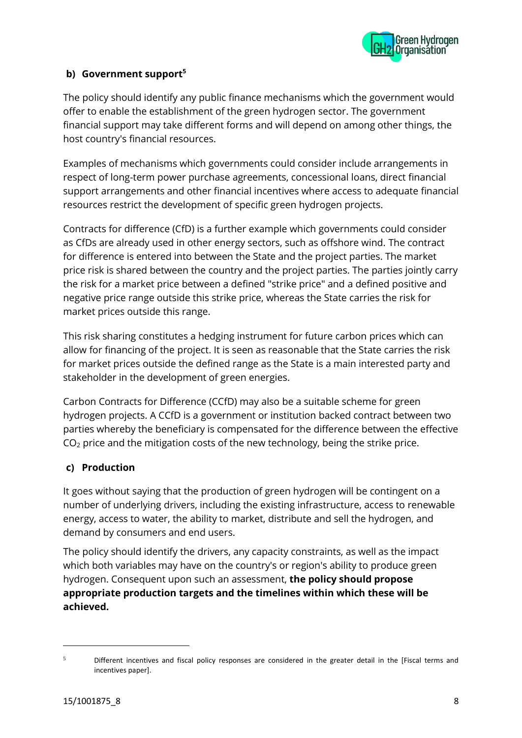

#### **b) Government support<sup>5</sup>**

The policy should identify any public finance mechanisms which the government would offer to enable the establishment of the green hydrogen sector. The government financial support may take different forms and will depend on among other things, the host country's financial resources.

Examples of mechanisms which governments could consider include arrangements in respect of long-term power purchase agreements, concessional loans, direct financial support arrangements and other financial incentives where access to adequate financial resources restrict the development of specific green hydrogen projects.

Contracts for difference (CfD) is a further example which governments could consider as CfDs are already used in other energy sectors, such as offshore wind. The contract for difference is entered into between the State and the project parties. The market price risk is shared between the country and the project parties. The parties jointly carry the risk for a market price between a defined "strike price" and a defined positive and negative price range outside this strike price, whereas the State carries the risk for market prices outside this range.

This risk sharing constitutes a hedging instrument for future carbon prices which can allow for financing of the project. It is seen as reasonable that the State carries the risk for market prices outside the defined range as the State is a main interested party and stakeholder in the development of green energies.

Carbon Contracts for Difference (CCfD) may also be a suitable scheme for green hydrogen projects. A CCfD is a government or institution backed contract between two parties whereby the beneficiary is compensated for the difference between the effective  $CO<sub>2</sub>$  price and the mitigation costs of the new technology, being the strike price.

#### **c) Production**

It goes without saying that the production of green hydrogen will be contingent on a number of underlying drivers, including the existing infrastructure, access to renewable energy, access to water, the ability to market, distribute and sell the hydrogen, and demand by consumers and end users.

The policy should identify the drivers, any capacity constraints, as well as the impact which both variables may have on the country's or region's ability to produce green hydrogen. Consequent upon such an assessment, **the policy should propose appropriate production targets and the timelines within which these will be achieved.**

<sup>&</sup>lt;sup>5</sup> Different incentives and fiscal policy responses are considered in the greater detail in the [Fiscal terms and incentives paper].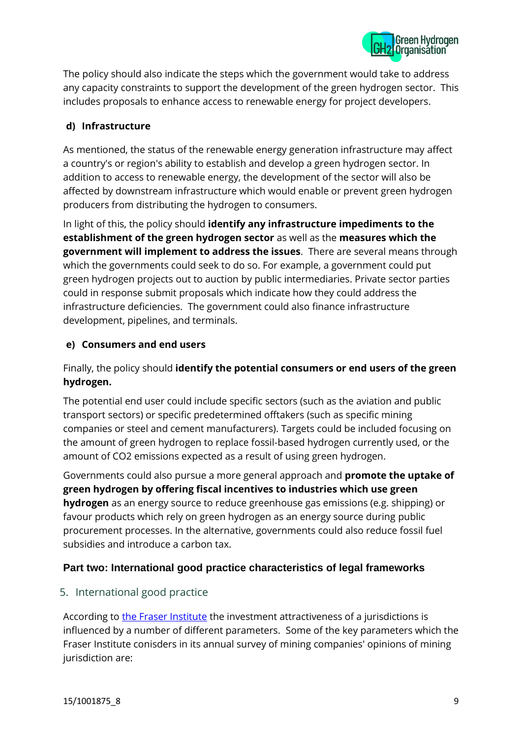

The policy should also indicate the steps which the government would take to address any capacity constraints to support the development of the green hydrogen sector. This includes proposals to enhance access to renewable energy for project developers.

#### **d) Infrastructure**

As mentioned, the status of the renewable energy generation infrastructure may affect a country's or region's ability to establish and develop a green hydrogen sector. In addition to access to renewable energy, the development of the sector will also be affected by downstream infrastructure which would enable or prevent green hydrogen producers from distributing the hydrogen to consumers.

In light of this, the policy should **identify any infrastructure impediments to the establishment of the green hydrogen sector** as well as the **measures which the government will implement to address the issues**. There are several means through which the governments could seek to do so. For example, a government could put green hydrogen projects out to auction by public intermediaries. Private sector parties could in response submit proposals which indicate how they could address the infrastructure deficiencies. The government could also finance infrastructure development, pipelines, and terminals.

## **e) Consumers and end users**

## Finally, the policy should **identify the potential consumers or end users of the green hydrogen.**

The potential end user could include specific sectors (such as the aviation and public transport sectors) or specific predetermined offtakers (such as specific mining companies or steel and cement manufacturers). Targets could be included focusing on the amount of green hydrogen to replace fossil-based hydrogen currently used, or the amount of CO2 emissions expected as a result of using green hydrogen.

Governments could also pursue a more general approach and **promote the uptake of green hydrogen by offering fiscal incentives to industries which use green hydrogen** as an energy source to reduce greenhouse gas emissions (e.g. shipping) or favour products which rely on green hydrogen as an energy source during public procurement processes. In the alternative, governments could also reduce fossil fuel subsidies and introduce a carbon tax.

## **Part two: International good practice characteristics of legal frameworks**

#### 5. International good practice

According to [the Fraser Institute](https://www.fraserinstitute.org/studies/annual-survey-of-mining-companies-2021) the investment attractiveness of a jurisdictions is influenced by a number of different parameters. Some of the key parameters which the Fraser Institute conisders in its annual survey of mining companies' opinions of mining jurisdiction are: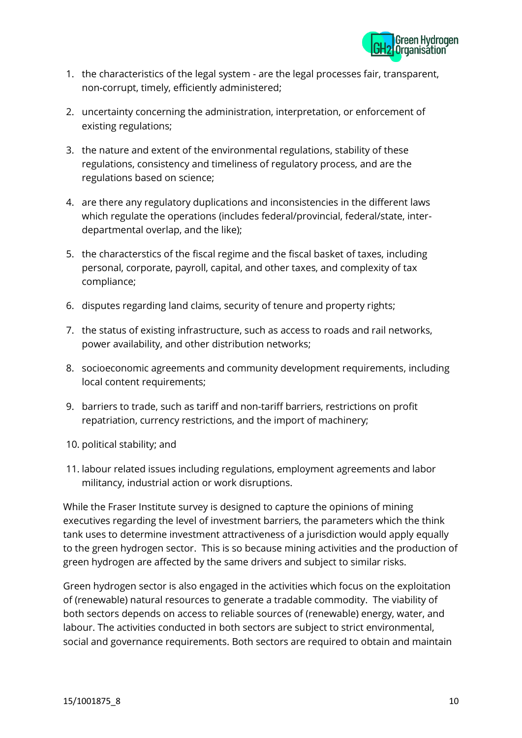

- 1. the characteristics of the legal system are the legal processes fair, transparent, non-corrupt, timely, efficiently administered;
- 2. uncertainty concerning the administration, interpretation, or enforcement of existing regulations;
- 3. the nature and extent of the environmental regulations, stability of these regulations, consistency and timeliness of regulatory process, and are the regulations based on science;
- 4. are there any regulatory duplications and inconsistencies in the different laws which regulate the operations (includes federal/provincial, federal/state, interdepartmental overlap, and the like);
- 5. the characterstics of the fiscal regime and the fiscal basket of taxes, including personal, corporate, payroll, capital, and other taxes, and complexity of tax compliance;
- 6. disputes regarding land claims, security of tenure and property rights;
- 7. the status of existing infrastructure, such as access to roads and rail networks, power availability, and other distribution networks;
- 8. socioeconomic agreements and community development requirements, including local content requirements;
- 9. barriers to trade, such as tariff and non-tariff barriers, restrictions on profit repatriation, currency restrictions, and the import of machinery;
- 10. political stability; and
- 11. labour related issues including regulations, employment agreements and labor militancy, industrial action or work disruptions.

While the Fraser Institute survey is designed to capture the opinions of mining executives regarding the level of investment barriers, the parameters which the think tank uses to determine investment attractiveness of a jurisdiction would apply equally to the green hydrogen sector. This is so because mining activities and the production of green hydrogen are affected by the same drivers and subject to similar risks.

Green hydrogen sector is also engaged in the activities which focus on the exploitation of (renewable) natural resources to generate a tradable commodity. The viability of both sectors depends on access to reliable sources of (renewable) energy, water, and labour. The activities conducted in both sectors are subject to strict environmental, social and governance requirements. Both sectors are required to obtain and maintain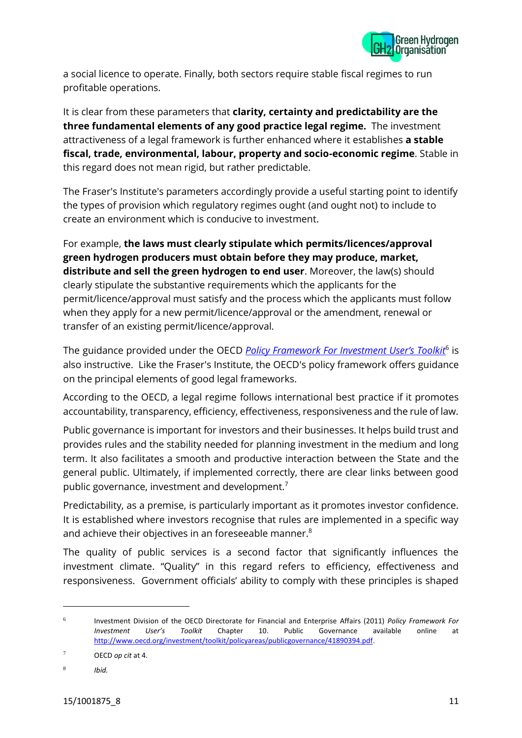

a social licence to operate. Finally, both sectors require stable fiscal regimes to run profitable operations.

It is clear from these parameters that **clarity, certainty and predictability are the three fundamental elements of any good practice legal regime.** The investment attractiveness of a legal framework is further enhanced where it establishes **a stable fiscal, trade, environmental, labour, property and socio-economic regime**. Stable in this regard does not mean rigid, but rather predictable.

The Fraser's Institute's parameters accordingly provide a useful starting point to identify the types of provision which regulatory regimes ought (and ought not) to include to create an environment which is conducive to investment.

For example, **the laws must clearly stipulate which permits/licences/approval green hydrogen producers must obtain before they may produce, market, distribute and sell the green hydrogen to end user**. Moreover, the law(s) should clearly stipulate the substantive requirements which the applicants for the permit/licence/approval must satisfy and the process which the applicants must follow when they apply for a new permit/licence/approval or the amendment, renewal or transfer of an existing permit/licence/approval.

The guidance provided under the OECD *[Policy Framework For Investment User's Toolkit](http://www.oecd.org/investment/toolkit/policyareas/publicgovernance/41890394.pdf)*<sup>6</sup> is also instructive. Like the Fraser's Institute, the OECD's policy framework offers guidance on the principal elements of good legal frameworks.

According to the OECD, a legal regime follows international best practice if it promotes accountability, transparency, efficiency, effectiveness, responsiveness and the rule of law.

Public governance is important for investors and their businesses. It helps build trust and provides rules and the stability needed for planning investment in the medium and long term. It also facilitates a smooth and productive interaction between the State and the general public. Ultimately, if implemented correctly, there are clear links between good public governance, investment and development.<sup>7</sup>

Predictability, as a premise, is particularly important as it promotes investor confidence. It is established where investors recognise that rules are implemented in a specific way and achieve their objectives in an foreseeable manner.<sup>8</sup>

The quality of public services is a second factor that significantly influences the investment climate. "Quality" in this regard refers to efficiency, effectiveness and responsiveness. Government officials' ability to comply with these principles is shaped

<sup>6</sup> Investment Division of the OECD Directorate for Financial and Enterprise Affairs (2011) *Policy Framework For Investment User's Toolkit* Chapter 10. Public Governance available online at [http://www.oecd.org/investment/toolkit/policyareas/publicgovernance/41890394.pdf.](http://www.oecd.org/investment/toolkit/policyareas/publicgovernance/41890394.pdf) 

<sup>7</sup> OECD *op cit* at 4.

<sup>8</sup> *Ibid.*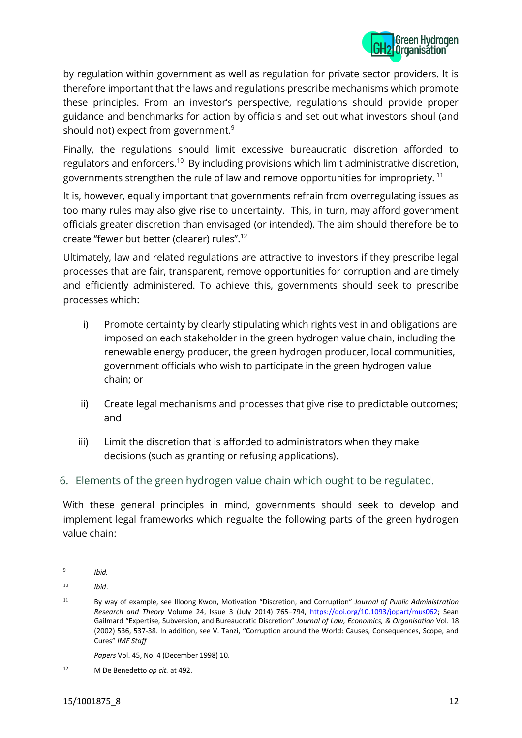

by regulation within government as well as regulation for private sector providers. It is therefore important that the laws and regulations prescribe mechanisms which promote these principles. From an investor's perspective, regulations should provide proper guidance and benchmarks for action by officials and set out what investors shoul (and should not) expect from government.<sup>9</sup>

Finally, the regulations should limit excessive bureaucratic discretion afforded to regulators and enforcers.<sup>10</sup> By including provisions which limit administrative discretion, governments strengthen the rule of law and remove opportunities for impropriety. <sup>11</sup>

It is, however, equally important that governments refrain from overregulating issues as too many rules may also give rise to uncertainty. This, in turn, may afford government officials greater discretion than envisaged (or intended). The aim should therefore be to create "fewer but better (clearer) rules".<sup>12</sup>

Ultimately, law and related regulations are attractive to investors if they prescribe legal processes that are fair, transparent, remove opportunities for corruption and are timely and efficiently administered. To achieve this, governments should seek to prescribe processes which:

- i) Promote certainty by clearly stipulating which rights vest in and obligations are imposed on each stakeholder in the green hydrogen value chain, including the renewable energy producer, the green hydrogen producer, local communities, government officials who wish to participate in the green hydrogen value chain; or
- ii) Create legal mechanisms and processes that give rise to predictable outcomes; and
- iii) Limit the discretion that is afforded to administrators when they make decisions (such as granting or refusing applications).
- 6. Elements of the green hydrogen value chain which ought to be regulated.

With these general principles in mind, governments should seek to develop and implement legal frameworks which regualte the following parts of the green hydrogen value chain:

*Papers* Vol. 45, No. 4 (December 1998) 10.

<sup>9</sup> *Ibid.*

<sup>10</sup> *Ibid*.

<sup>11</sup> By way of example, see Illoong Kwon, Motivation "Discretion, and Corruption" *Journal of Public Administration Research and Theory* Volume 24, Issue 3 (July 2014) 765–794, [https://doi.org/10.1093/jopart/mus062;](https://doi.org/10.1093/jopart/mus062) Sean Gailmard "Expertise, Subversion, and Bureaucratic Discretion" *Journal of Law, Economics, & Organisation* Vol. 18 (2002) 536, 537-38. In addition, see V. Tanzi, "Corruption around the World: Causes, Consequences, Scope, and Cures" *IMF Staff*

<sup>12</sup> M De Benedetto *op cit.* at 492.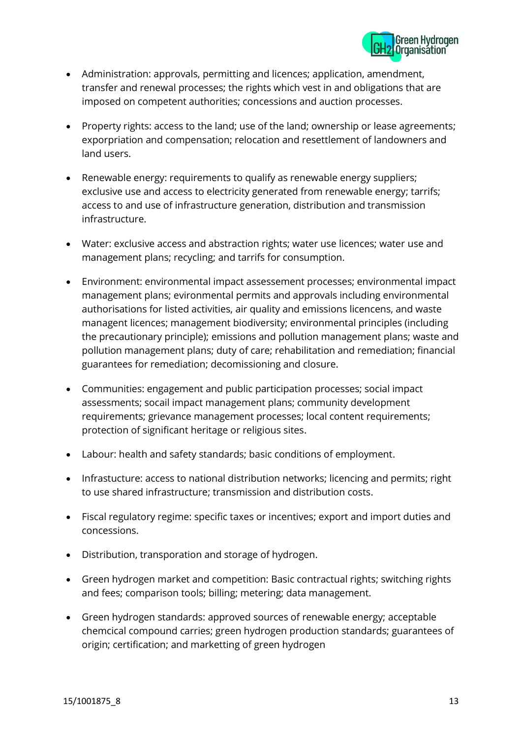

- Administration: approvals, permitting and licences; application, amendment, transfer and renewal processes; the rights which vest in and obligations that are imposed on competent authorities; concessions and auction processes.
- Property rights: access to the land; use of the land; ownership or lease agreements; exporpriation and compensation; relocation and resettlement of landowners and land users.
- Renewable energy: requirements to qualify as renewable energy suppliers; exclusive use and access to electricity generated from renewable energy; tarrifs; access to and use of infrastructure generation, distribution and transmission infrastructure.
- Water: exclusive access and abstraction rights; water use licences; water use and management plans; recycling; and tarrifs for consumption.
- Environment: environmental impact assessement processes; environmental impact management plans; evironmental permits and approvals including environmental authorisations for listed activities, air quality and emissions licencens, and waste managent licences; management biodiversity; environmental principles (including the precautionary principle); emissions and pollution management plans; waste and pollution management plans; duty of care; rehabilitation and remediation; financial guarantees for remediation; decomissioning and closure.
- Communities: engagement and public participation processes; social impact assessments; socail impact management plans; community development requirements; grievance management processes; local content requirements; protection of significant heritage or religious sites.
- Labour: health and safety standards; basic conditions of employment.
- Infrastucture: access to national distribution networks; licencing and permits; right to use shared infrastructure; transmission and distribution costs.
- Fiscal regulatory regime: specific taxes or incentives; export and import duties and concessions.
- Distribution, transporation and storage of hydrogen.
- Green hydrogen market and competition: Basic contractual rights; switching rights and fees; comparison tools; billing; metering; data management.
- Green hydrogen standards: approved sources of renewable energy; acceptable chemcical compound carries; green hydrogen production standards; guarantees of origin; certification; and marketting of green hydrogen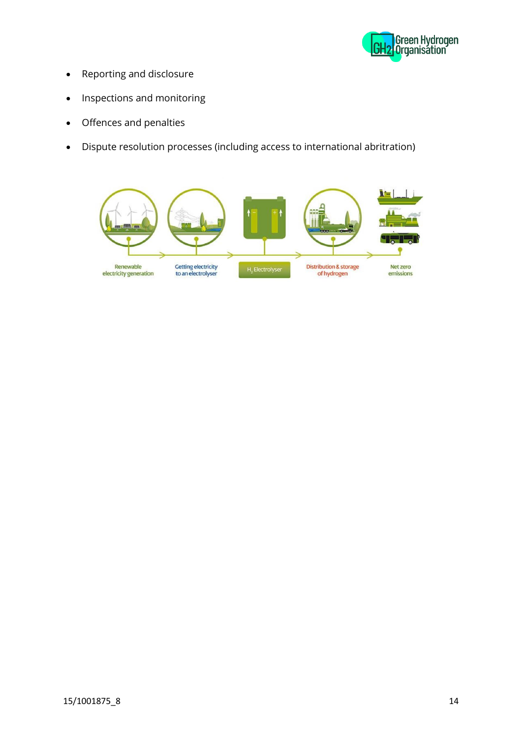

- Reporting and disclosure
- Inspections and monitoring
- Offences and penalties
- Dispute resolution processes (including access to international abritration)

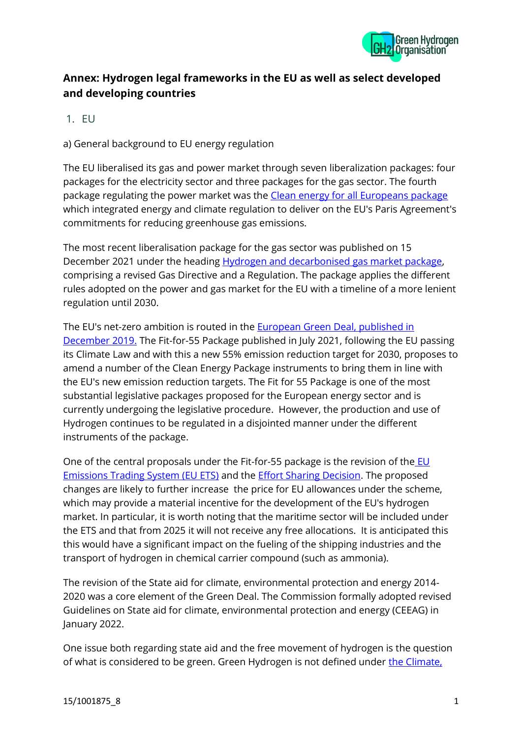

## **Annex: Hydrogen legal frameworks in the EU as well as select developed and developing countries**

 $1$  FU

a) General background to EU energy regulation

The EU liberalised its gas and power market through seven liberalization packages: four packages for the electricity sector and three packages for the gas sector. The fourth package regulating the power market was the [Clean energy for all Europeans package](https://energy.ec.europa.eu/topics/energy-strategy/clean-energy-all-europeans-package_en) which integrated energy and climate regulation to deliver on the EU's Paris Agreement's commitments for reducing greenhouse gas emissions.

The most recent liberalisation package for the gas sector was published on 15 December 2021 under the heading [Hydrogen and decarbonised gas market package,](https://energy.ec.europa.eu/topics/markets-and-consumers/market-legislation/hydrogen-and-decarbonised-gas-market-package_en) comprising a revised Gas Directive and a Regulation. The package applies the different rules adopted on the power and gas market for the EU with a timeline of a more lenient regulation until 2030.

The EU's net-zero ambition is routed in the [European Green Deal,](https://ec.europa.eu/info/strategy/priorities-2019-2024/european-green-deal_en) published in December 2019. The Fit-for-55 Package published in July 2021, following the EU passing its Climate Law and with this a new 55% emission reduction target for 2030, proposes to amend a number of the Clean Energy Package instruments to bring them in line with the EU's new emission reduction targets. The Fit for 55 Package is one of the most substantial legislative packages proposed for the European energy sector and is currently undergoing the legislative procedure. However, the production and use of Hydrogen continues to be regulated in a disjointed manner under the different instruments of the package.

One of the central proposals under the Fit-for-55 package is the revision of the **EU** [Emissions Trading System \(EU ETS\)](https://ec.europa.eu/clima/eu-action/eu-emissions-trading-system-eu-ets_en) and the [Effort Sharing Decision.](https://ec.europa.eu/clima/eu-action/effort-sharing-member-states-emission-targets/implementation-effort-sharing-decision_en) The proposed changes are likely to further increase the price for EU allowances under the scheme, which may provide a material incentive for the development of the EU's hydrogen market. In particular, it is worth noting that the maritime sector will be included under the ETS and that from 2025 it will not receive any free allocations. It is anticipated this this would have a significant impact on the fueling of the shipping industries and the transport of hydrogen in chemical carrier compound (such as ammonia).

The revision of the State aid for climate, environmental protection and energy 2014- 2020 was a core element of the Green Deal. The Commission formally adopted revised Guidelines on State aid for climate, environmental protection and energy (CEEAG) in January 2022.

One issue both regarding state aid and the free movement of hydrogen is the question of what is considered to be green. Green Hydrogen is not defined under the Climate.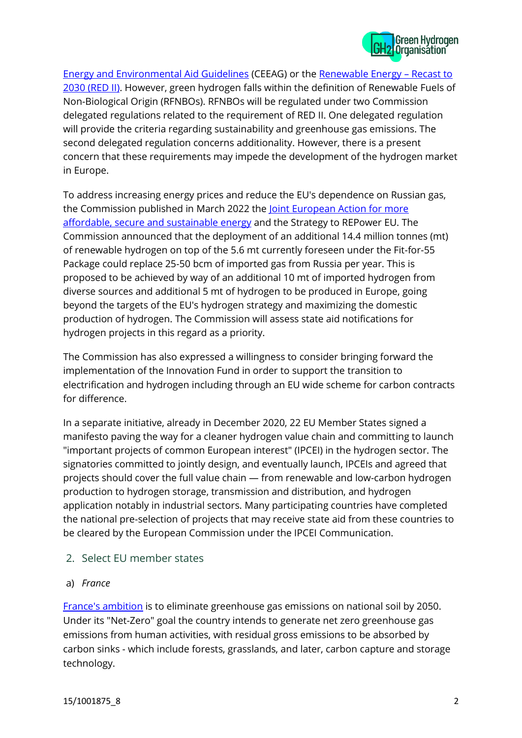

[Energy and Environmental Aid Guidelines](https://ec.europa.eu/commission/presscorner/detail/en/qanda_22_566) (CEEAG) or the [Renewable Energy](https://joint-research-centre.ec.europa.eu/welcome-jec-website/reference-regulatory-framework/renewable-energy-recast-2030-red-ii_en) – Recast to [2030 \(RED II\).](https://joint-research-centre.ec.europa.eu/welcome-jec-website/reference-regulatory-framework/renewable-energy-recast-2030-red-ii_en) However, green hydrogen falls within the definition of Renewable Fuels of Non-Biological Origin (RFNBOs). RFNBOs will be regulated under two Commission delegated regulations related to the requirement of RED II. One delegated regulation will provide the criteria regarding sustainability and greenhouse gas emissions. The second delegated regulation concerns additionality. However, there is a present concern that these requirements may impede the development of the hydrogen market in Europe.

To address increasing energy prices and reduce the EU's dependence on Russian gas, the Commission published in March 2022 the Joint European Action for more [affordable, secure and sustainable energy](https://ec.europa.eu/commission/presscorner/detail/en/ip_22_1511) and the Strategy to REPower EU. The Commission announced that the deployment of an additional 14.4 million tonnes (mt) of renewable hydrogen on top of the 5.6 mt currently foreseen under the Fit-for-55 Package could replace 25-50 bcm of imported gas from Russia per year. This is proposed to be achieved by way of an additional 10 mt of imported hydrogen from diverse sources and additional 5 mt of hydrogen to be produced in Europe, going beyond the targets of the EU's hydrogen strategy and maximizing the domestic production of hydrogen. The Commission will assess state aid notifications for hydrogen projects in this regard as a priority.

The Commission has also expressed a willingness to consider bringing forward the implementation of the Innovation Fund in order to support the transition to electrification and hydrogen including through an EU wide scheme for carbon contracts for difference.

In a separate initiative, already in December 2020, 22 EU Member States signed a manifesto paving the way for a cleaner hydrogen value chain and committing to launch "important projects of common European interest" (IPCEI) in the hydrogen sector. The signatories committed to jointly design, and eventually launch, IPCEIs and agreed that projects should cover the full value chain — from renewable and low-carbon hydrogen production to hydrogen storage, transmission and distribution, and hydrogen application notably in industrial sectors. Many participating countries have completed the national pre-selection of projects that may receive state aid from these countries to be cleared by the European Commission under the IPCEI Communication.

- 2. Select EU member states
- a) *France*

[France's ambition](https://www.strategie.gouv.fr/english-articles/value-climate-action) is to eliminate greenhouse gas emissions on national soil by 2050. Under its "Net-Zero" goal the country intends to generate net zero greenhouse gas emissions from human activities, with residual gross emissions to be absorbed by carbon sinks - which include forests, grasslands, and later, carbon capture and storage technology.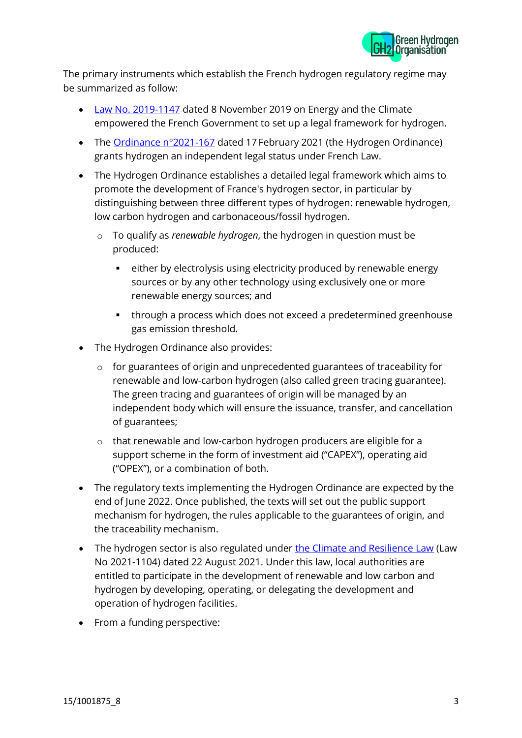

The primary instruments which establish the French hydrogen regulatory regime may be summarized as follow:

- Law No. [2019-1147](https://climate-laws.org/geographies/france/laws/law-no-2019-1147-on-energy-and-the-climate) dated 8 November 2019 on Energy and the Climate empowered the French Government to set up a legal framework for hydrogen.
- The [Ordinance n°2021-167](https://inis.iaea.org/search/search.aspx?orig_q=RN:52048784) dated 17 February 2021 (the Hydrogen Ordinance) grants hydrogen an independent legal status under French Law.
- The Hydrogen Ordinance establishes a detailed legal framework which aims to promote the development of France's hydrogen sector, in particular by distinguishing between three different types of hydrogen: renewable hydrogen, low carbon hydrogen and carbonaceous/fossil hydrogen.
	- o To qualify as *renewable hydrogen*, the hydrogen in question must be produced:
		- either by electrolysis using electricity produced by renewable energy sources or by any other technology using exclusively one or more renewable energy sources; and
		- through a process which does not exceed a predetermined greenhouse gas emission threshold.
- The Hydrogen Ordinance also provides:
	- o for guarantees of origin and unprecedented guarantees of traceability for renewable and low-carbon hydrogen (also called green tracing guarantee). The green tracing and guarantees of origin will be managed by an independent body which will ensure the issuance, transfer, and cancellation of guarantees;
	- o that renewable and low-carbon hydrogen producers are eligible for a support scheme in the form of investment aid ("CAPEX"), operating aid ("OPEX"), or a combination of both.
- The regulatory texts implementing the Hydrogen Ordinance are expected by the end of June 2022. Once published, the texts will set out the public support mechanism for hydrogen, the rules applicable to the guarantees of origin, and the traceability mechanism.
- The hydrogen sector is also regulated under [the Climate and Resilience Law](https://climate-laws.org/geographies/france/laws/law-no-2021-1104-on-the-fight-against-climate-change-and-the-reinforcement-of-resilience-in-the-face-of-its-effects) (Law No 2021-1104) dated 22 August 2021. Under this law, local authorities are entitled to participate in the development of renewable and low carbon and hydrogen by developing, operating, or delegating the development and operation of hydrogen facilities.
- From a funding perspective: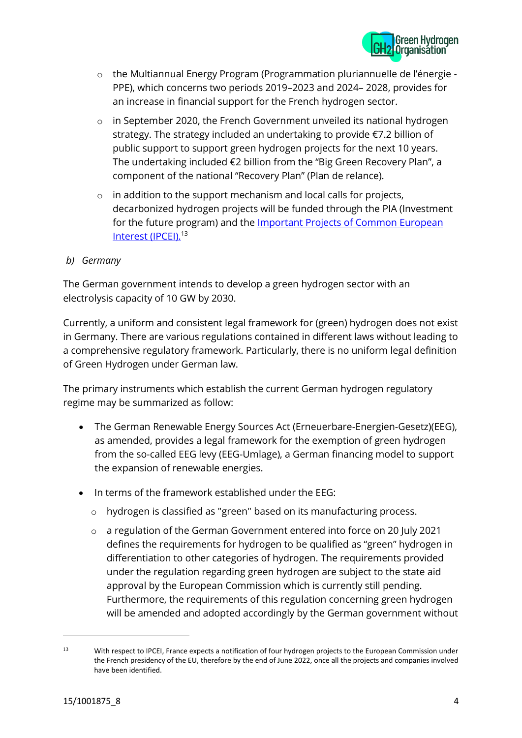

- o the Multiannual Energy Program (Programmation pluriannuelle de l'énergie PPE), which concerns two periods 2019–2023 and 2024– 2028, provides for an increase in financial support for the French hydrogen sector.
- o in September 2020, the French Government unveiled its national hydrogen strategy. The strategy included an undertaking to provide €7.2 billion of public support to support green hydrogen projects for the next 10 years. The undertaking included €2 billion from the "Big Green Recovery Plan", a component of the national "Recovery Plan" (Plan de relance).
- o in addition to the support mechanism and local calls for projects, decarbonized hydrogen projects will be funded through the PIA (Investment for the future program) and the **Important Projects of Common European** [Interest \(IPCEI\).](https://ec.europa.eu/competition-policy/state-aid/legislation/modernisation/ipcei_en)<sup>13</sup>

#### *b) Germany*

The German government intends to develop a green hydrogen sector with an electrolysis capacity of 10 GW by 2030.

Currently, a uniform and consistent legal framework for (green) hydrogen does not exist in Germany. There are various regulations contained in different laws without leading to a comprehensive regulatory framework. Particularly, there is no uniform legal definition of Green Hydrogen under German law.

The primary instruments which establish the current German hydrogen regulatory regime may be summarized as follow:

- The German Renewable Energy Sources Act (Erneuerbare-Energien-Gesetz)(EEG), as amended, provides a legal framework for the exemption of green hydrogen from the so-called EEG levy (EEG-Umlage), a German financing model to support the expansion of renewable energies.
- In terms of the framework established under the EEG:
	- o hydrogen is classified as "green" based on its manufacturing process.
	- o a regulation of the German Government entered into force on 20 July 2021 defines the requirements for hydrogen to be qualified as "green" hydrogen in differentiation to other categories of hydrogen. The requirements provided under the regulation regarding green hydrogen are subject to the state aid approval by the European Commission which is currently still pending. Furthermore, the requirements of this regulation concerning green hydrogen will be amended and adopted accordingly by the German government without

<sup>13</sup> With respect to IPCEI, France expects a notification of four hydrogen projects to the European Commission under the French presidency of the EU, therefore by the end of June 2022, once all the projects and companies involved have been identified.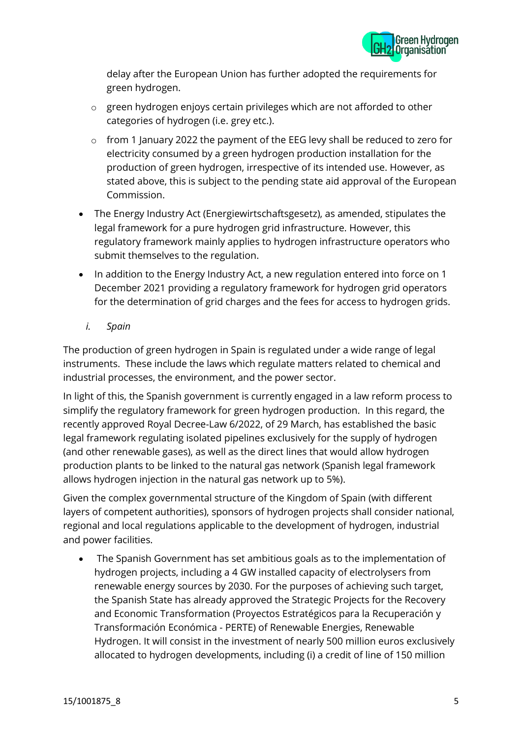

delay after the European Union has further adopted the requirements for green hydrogen.

- o green hydrogen enjoys certain privileges which are not afforded to other categories of hydrogen (i.e. grey etc.).
- o from 1 January 2022 the payment of the EEG levy shall be reduced to zero for electricity consumed by a green hydrogen production installation for the production of green hydrogen, irrespective of its intended use. However, as stated above, this is subject to the pending state aid approval of the European Commission.
- The Energy Industry Act (Energiewirtschaftsgesetz), as amended, stipulates the legal framework for a pure hydrogen grid infrastructure. However, this regulatory framework mainly applies to hydrogen infrastructure operators who submit themselves to the regulation.
- In addition to the Energy Industry Act, a new regulation entered into force on 1 December 2021 providing a regulatory framework for hydrogen grid operators for the determination of grid charges and the fees for access to hydrogen grids.
	- *i. Spain*

The production of green hydrogen in Spain is regulated under a wide range of legal instruments. These include the laws which regulate matters related to chemical and industrial processes, the environment, and the power sector.

In light of this, the Spanish government is currently engaged in a law reform process to simplify the regulatory framework for green hydrogen production. In this regard, the recently approved Royal Decree-Law 6/2022, of 29 March, has established the basic legal framework regulating isolated pipelines exclusively for the supply of hydrogen (and other renewable gases), as well as the direct lines that would allow hydrogen production plants to be linked to the natural gas network (Spanish legal framework allows hydrogen injection in the natural gas network up to 5%).

Given the complex governmental structure of the Kingdom of Spain (with different layers of competent authorities), sponsors of hydrogen projects shall consider national, regional and local regulations applicable to the development of hydrogen, industrial and power facilities.

• The Spanish Government has set ambitious goals as to the implementation of hydrogen projects, including a 4 GW installed capacity of electrolysers from renewable energy sources by 2030. For the purposes of achieving such target, the Spanish State has already approved the Strategic Projects for the Recovery and Economic Transformation (Proyectos Estratégicos para la Recuperación y Transformación Económica - PERTE) of Renewable Energies, Renewable Hydrogen. It will consist in the investment of nearly 500 million euros exclusively allocated to hydrogen developments, including (i) a credit of line of 150 million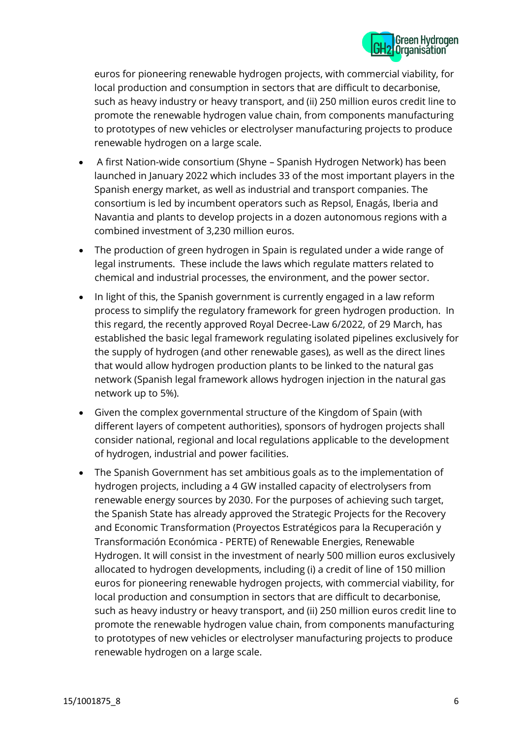

euros for pioneering renewable hydrogen projects, with commercial viability, for local production and consumption in sectors that are difficult to decarbonise, such as heavy industry or heavy transport, and (ii) 250 million euros credit line to promote the renewable hydrogen value chain, from components manufacturing to prototypes of new vehicles or electrolyser manufacturing projects to produce renewable hydrogen on a large scale.

- A first Nation-wide consortium (Shyne Spanish Hydrogen Network) has been launched in January 2022 which includes 33 of the most important players in the Spanish energy market, as well as industrial and transport companies. The consortium is led by incumbent operators such as Repsol, Enagás, Iberia and Navantia and plants to develop projects in a dozen autonomous regions with a combined investment of 3,230 million euros.
- The production of green hydrogen in Spain is regulated under a wide range of legal instruments. These include the laws which regulate matters related to chemical and industrial processes, the environment, and the power sector.
- In light of this, the Spanish government is currently engaged in a law reform process to simplify the regulatory framework for green hydrogen production. In this regard, the recently approved Royal Decree-Law 6/2022, of 29 March, has established the basic legal framework regulating isolated pipelines exclusively for the supply of hydrogen (and other renewable gases), as well as the direct lines that would allow hydrogen production plants to be linked to the natural gas network (Spanish legal framework allows hydrogen injection in the natural gas network up to 5%).
- Given the complex governmental structure of the Kingdom of Spain (with different layers of competent authorities), sponsors of hydrogen projects shall consider national, regional and local regulations applicable to the development of hydrogen, industrial and power facilities.
- The Spanish Government has set ambitious goals as to the implementation of hydrogen projects, including a 4 GW installed capacity of electrolysers from renewable energy sources by 2030. For the purposes of achieving such target, the Spanish State has already approved the Strategic Projects for the Recovery and Economic Transformation (Proyectos Estratégicos para la Recuperación y Transformación Económica - PERTE) of Renewable Energies, Renewable Hydrogen. It will consist in the investment of nearly 500 million euros exclusively allocated to hydrogen developments, including (i) a credit of line of 150 million euros for pioneering renewable hydrogen projects, with commercial viability, for local production and consumption in sectors that are difficult to decarbonise, such as heavy industry or heavy transport, and (ii) 250 million euros credit line to promote the renewable hydrogen value chain, from components manufacturing to prototypes of new vehicles or electrolyser manufacturing projects to produce renewable hydrogen on a large scale.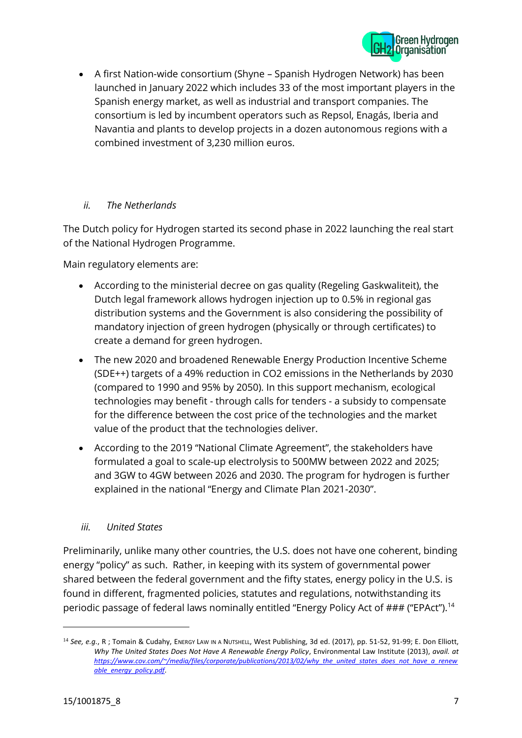

• A first Nation-wide consortium (Shyne – Spanish Hydrogen Network) has been launched in January 2022 which includes 33 of the most important players in the Spanish energy market, as well as industrial and transport companies. The consortium is led by incumbent operators such as Repsol, Enagás, Iberia and Navantia and plants to develop projects in a dozen autonomous regions with a combined investment of 3,230 million euros.

#### *ii. The Netherlands*

The Dutch policy for Hydrogen started its second phase in 2022 launching the real start of the National Hydrogen Programme.

Main regulatory elements are:

- According to the ministerial decree on gas quality (Regeling Gaskwaliteit), the Dutch legal framework allows hydrogen injection up to 0.5% in regional gas distribution systems and the Government is also considering the possibility of mandatory injection of green hydrogen (physically or through certificates) to create a demand for green hydrogen.
- The new 2020 and broadened Renewable Energy Production Incentive Scheme (SDE++) targets of a 49% reduction in CO2 emissions in the Netherlands by 2030 (compared to 1990 and 95% by 2050). In this support mechanism, ecological technologies may benefit - through calls for tenders - a subsidy to compensate for the difference between the cost price of the technologies and the market value of the product that the technologies deliver.
- According to the 2019 "National Climate Agreement", the stakeholders have formulated a goal to scale-up electrolysis to 500MW between 2022 and 2025; and 3GW to 4GW between 2026 and 2030. The program for hydrogen is further explained in the national "Energy and Climate Plan 2021-2030".

#### *iii. United States*

Preliminarily, unlike many other countries, the U.S. does not have one coherent, binding energy "policy" as such. Rather, in keeping with its system of governmental power shared between the federal government and the fifty states, energy policy in the U.S. is found in different, fragmented policies, statutes and regulations, notwithstanding its periodic passage of federal laws nominally entitled "Energy Policy Act of ### ("EPAct").<sup>14</sup>

<sup>&</sup>lt;sup>14</sup> See, e.g., R; Tomain & Cudahy, ENERGY LAW IN A NUTSHELL, West Publishing, 3d ed. (2017), pp. 51-52, 91-99; E. Don Elliott, *Why The United States Does Not Have A Renewable Energy Policy*, Environmental Law Institute (2013), *avail. at [https://www.cov.com/~/media/files/corporate/publications/2013/02/why\\_the\\_united\\_states\\_does\\_not\\_have\\_a\\_renew](https://www.cov.com/~/media/files/corporate/publications/2013/02/why_the_united_states_does_not_have_a_renewable_energy_policy.pdf) [able\\_energy\\_policy.pdf](https://www.cov.com/~/media/files/corporate/publications/2013/02/why_the_united_states_does_not_have_a_renewable_energy_policy.pdf)*.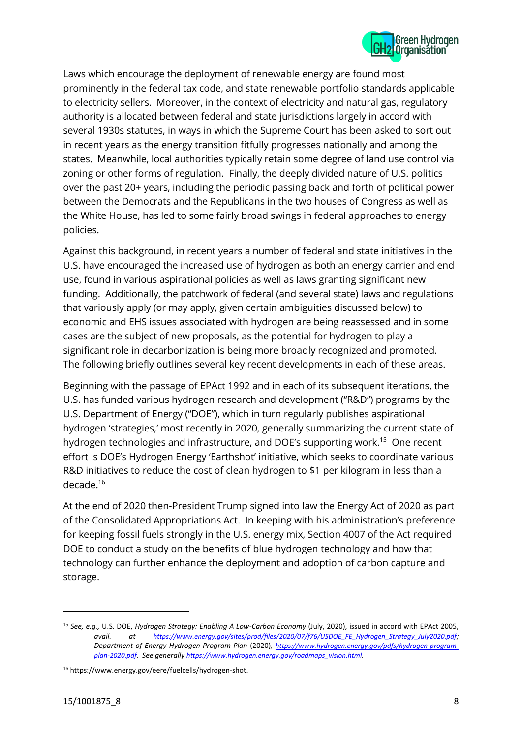

Laws which encourage the deployment of renewable energy are found most prominently in the federal tax code, and state renewable portfolio standards applicable to electricity sellers. Moreover, in the context of electricity and natural gas, regulatory authority is allocated between federal and state jurisdictions largely in accord with several 1930s statutes, in ways in which the Supreme Court has been asked to sort out in recent years as the energy transition fitfully progresses nationally and among the states. Meanwhile, local authorities typically retain some degree of land use control via zoning or other forms of regulation. Finally, the deeply divided nature of U.S. politics over the past 20+ years, including the periodic passing back and forth of political power between the Democrats and the Republicans in the two houses of Congress as well as the White House, has led to some fairly broad swings in federal approaches to energy policies.

Against this background, in recent years a number of federal and state initiatives in the U.S. have encouraged the increased use of hydrogen as both an energy carrier and end use, found in various aspirational policies as well as laws granting significant new funding. Additionally, the patchwork of federal (and several state) laws and regulations that variously apply (or may apply, given certain ambiguities discussed below) to economic and EHS issues associated with hydrogen are being reassessed and in some cases are the subject of new proposals, as the potential for hydrogen to play a significant role in decarbonization is being more broadly recognized and promoted. The following briefly outlines several key recent developments in each of these areas.

Beginning with the passage of EPAct 1992 and in each of its subsequent iterations, the U.S. has funded various hydrogen research and development ("R&D") programs by the U.S. Department of Energy ("DOE"), which in turn regularly publishes aspirational hydrogen 'strategies,' most recently in 2020, generally summarizing the current state of hydrogen technologies and infrastructure, and DOE's supporting work.<sup>15</sup> One recent effort is DOE's Hydrogen Energy 'Earthshot' initiative, which seeks to coordinate various R&D initiatives to reduce the cost of clean hydrogen to \$1 per kilogram in less than a decade.<sup>16</sup>

At the end of 2020 then-President Trump signed into law the Energy Act of 2020 as part of the Consolidated Appropriations Act. In keeping with his administration's preference for keeping fossil fuels strongly in the U.S. energy mix, Section 4007 of the Act required DOE to conduct a study on the benefits of blue hydrogen technology and how that technology can further enhance the deployment and adoption of carbon capture and storage.

<sup>15</sup> *See, e.g.,* U.S. DOE, *Hydrogen Strategy: Enabling A Low-Carbon Economy* (July, 2020), issued in accord with EPAct 2005, *avail. at [https://www.energy.gov/sites/prod/files/2020/07/f76/USDOE\\_FE\\_Hydrogen\\_Strategy\\_July2020.pdf](https://www.energy.gov/sites/prod/files/2020/07/f76/USDOE_FE_Hydrogen_Strategy_July2020.pdf); Department of Energy Hydrogen Program Plan* (2020)*, [https://www.hydrogen.energy.gov/pdfs/hydrogen-program](https://www.hydrogen.energy.gov/pdfs/hydrogen-program-plan-2020.pdf)[plan-2020.pdf](https://www.hydrogen.energy.gov/pdfs/hydrogen-program-plan-2020.pdf). See generally [https://www.hydrogen.energy.gov/roadmaps\\_vision.html](https://www.hydrogen.energy.gov/roadmaps_vision.html).*

<sup>16</sup> https://www.energy.gov/eere/fuelcells/hydrogen-shot.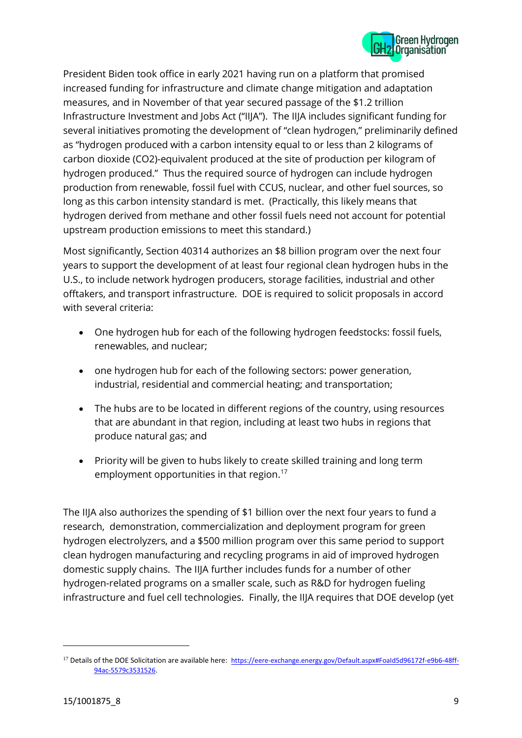

President Biden took office in early 2021 having run on a platform that promised increased funding for infrastructure and climate change mitigation and adaptation measures, and in November of that year secured passage of the \$1.2 trillion Infrastructure Investment and Jobs Act ("IIJA"). The IIJA includes significant funding for several initiatives promoting the development of "clean hydrogen," preliminarily defined as "hydrogen produced with a carbon intensity equal to or less than 2 kilograms of carbon dioxide (CO2)-equivalent produced at the site of production per kilogram of hydrogen produced." Thus the required source of hydrogen can include hydrogen production from renewable, fossil fuel with CCUS, nuclear, and other fuel sources, so long as this carbon intensity standard is met. (Practically, this likely means that hydrogen derived from methane and other fossil fuels need not account for potential upstream production emissions to meet this standard.)

Most significantly, Section 40314 authorizes an \$8 billion program over the next four years to support the development of at least four regional clean hydrogen hubs in the U.S., to include network hydrogen producers, storage facilities, industrial and other offtakers, and transport infrastructure. DOE is required to solicit proposals in accord with several criteria:

- One hydrogen hub for each of the following hydrogen feedstocks: fossil fuels, renewables, and nuclear;
- one hydrogen hub for each of the following sectors: power generation, industrial, residential and commercial heating; and transportation;
- The hubs are to be located in different regions of the country, using resources that are abundant in that region, including at least two hubs in regions that produce natural gas; and
- Priority will be given to hubs likely to create skilled training and long term employment opportunities in that region.<sup>17</sup>

The IIJA also authorizes the spending of \$1 billion over the next four years to fund a research, demonstration, commercialization and deployment program for green hydrogen electrolyzers, and a \$500 million program over this same period to support clean hydrogen manufacturing and recycling programs in aid of improved hydrogen domestic supply chains. The IIJA further includes funds for a number of other hydrogen-related programs on a smaller scale, such as R&D for hydrogen fueling infrastructure and fuel cell technologies. Finally, the IIJA requires that DOE develop (yet

<sup>&</sup>lt;sup>17</sup> Details of the DOE Solicitation are available here: [https://eere-exchange.energy.gov/Default.aspx#FoaId5d96172f-e9b6-48ff-](https://eere-exchange.energy.gov/Default.aspx#FoaId5d96172f-e9b6-48ff-94ac-5579c3531526)[94ac-5579c3531526](https://eere-exchange.energy.gov/Default.aspx#FoaId5d96172f-e9b6-48ff-94ac-5579c3531526).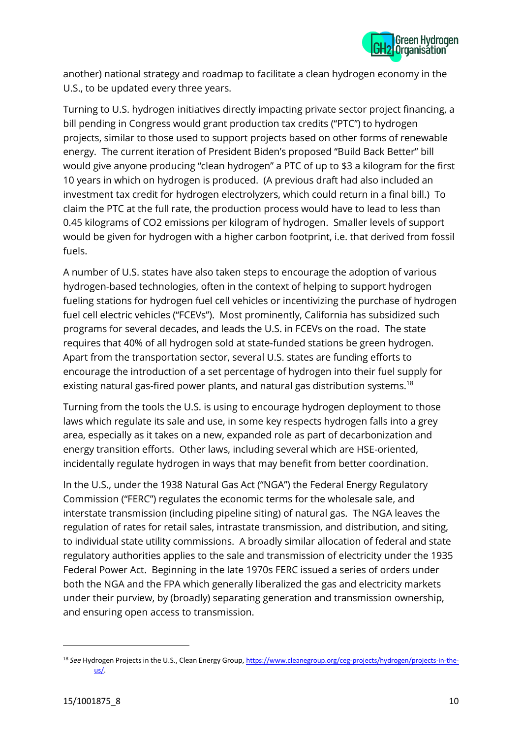

another) national strategy and roadmap to facilitate a clean hydrogen economy in the U.S., to be updated every three years.

Turning to U.S. hydrogen initiatives directly impacting private sector project financing, a bill pending in Congress would grant production tax credits ("PTC") to hydrogen projects, similar to those used to support projects based on other forms of renewable energy. The current iteration of President Biden's proposed "Build Back Better" bill would give anyone producing "clean hydrogen" a PTC of up to \$3 a kilogram for the first 10 years in which on hydrogen is produced. (A previous draft had also included an investment tax credit for hydrogen electrolyzers, which could return in a final bill.) To claim the PTC at the full rate, the production process would have to lead to less than 0.45 kilograms of CO2 emissions per kilogram of hydrogen. Smaller levels of support would be given for hydrogen with a higher carbon footprint, i.e. that derived from fossil fuels.

A number of U.S. states have also taken steps to encourage the adoption of various hydrogen-based technologies, often in the context of helping to support hydrogen fueling stations for hydrogen fuel cell vehicles or incentivizing the purchase of hydrogen fuel cell electric vehicles ("FCEVs"). Most prominently, California has subsidized such programs for several decades, and leads the U.S. in FCEVs on the road. The state requires that 40% of all hydrogen sold at state-funded stations be green hydrogen. Apart from the transportation sector, several U.S. states are funding efforts to encourage the introduction of a set percentage of hydrogen into their fuel supply for existing natural gas-fired power plants, and natural gas distribution systems.<sup>18</sup>

Turning from the tools the U.S. is using to encourage hydrogen deployment to those laws which regulate its sale and use, in some key respects hydrogen falls into a grey area, especially as it takes on a new, expanded role as part of decarbonization and energy transition efforts. Other laws, including several which are HSE-oriented, incidentally regulate hydrogen in ways that may benefit from better coordination.

In the U.S., under the 1938 Natural Gas Act ("NGA") the Federal Energy Regulatory Commission ("FERC") regulates the economic terms for the wholesale sale, and interstate transmission (including pipeline siting) of natural gas. The NGA leaves the regulation of rates for retail sales, intrastate transmission, and distribution, and siting, to individual state utility commissions. A broadly similar allocation of federal and state regulatory authorities applies to the sale and transmission of electricity under the 1935 Federal Power Act. Beginning in the late 1970s FERC issued a series of orders under both the NGA and the FPA which generally liberalized the gas and electricity markets under their purview, by (broadly) separating generation and transmission ownership, and ensuring open access to transmission.

<sup>18</sup> *See* Hydrogen Projects in the U.S., Clean Energy Group, [https://www.cleanegroup.org/ceg-projects/hydrogen/projects-in-the](https://www.cleanegroup.org/ceg-projects/hydrogen/projects-in-the-us/)[us/](https://www.cleanegroup.org/ceg-projects/hydrogen/projects-in-the-us/).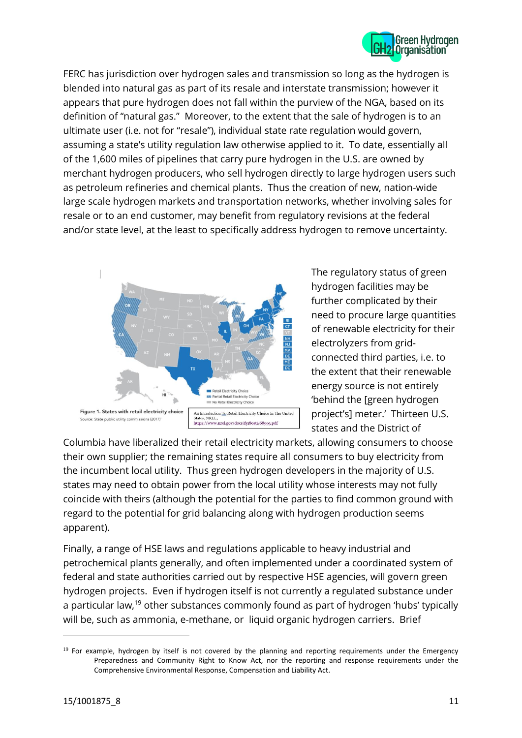

FERC has jurisdiction over hydrogen sales and transmission so long as the hydrogen is blended into natural gas as part of its resale and interstate transmission; however it appears that pure hydrogen does not fall within the purview of the NGA, based on its definition of "natural gas." Moreover, to the extent that the sale of hydrogen is to an ultimate user (i.e. not for "resale"), individual state rate regulation would govern, assuming a state's utility regulation law otherwise applied to it. To date, essentially all of the 1,600 miles of pipelines that carry pure hydrogen in the U.S. are owned by merchant hydrogen producers, who sell hydrogen directly to large hydrogen users such as petroleum refineries and chemical plants. Thus the creation of new, nation-wide large scale hydrogen markets and transportation networks, whether involving sales for resale or to an end customer, may benefit from regulatory revisions at the federal and/or state level, at the least to specifically address hydrogen to remove uncertainty.



The regulatory status of green hydrogen facilities may be further complicated by their need to procure large quantities of renewable electricity for their electrolyzers from gridconnected third parties, i.e. to the extent that their renewable energy source is not entirely 'behind the [green hydrogen project's] meter.' Thirteen U.S. states and the District of

Columbia have liberalized their retail electricity markets, allowing consumers to choose their own supplier; the remaining states require all consumers to buy electricity from the incumbent local utility. Thus green hydrogen developers in the majority of U.S. states may need to obtain power from the local utility whose interests may not fully coincide with theirs (although the potential for the parties to find common ground with regard to the potential for grid balancing along with hydrogen production seems apparent).

Finally, a range of HSE laws and regulations applicable to heavy industrial and petrochemical plants generally, and often implemented under a coordinated system of federal and state authorities carried out by respective HSE agencies, will govern green hydrogen projects. Even if hydrogen itself is not currently a regulated substance under a particular law,<sup>19</sup> other substances commonly found as part of hydrogen 'hubs' typically will be, such as ammonia, e-methane, or liquid organic hydrogen carriers. Brief

<sup>&</sup>lt;sup>19</sup> For example, hydrogen by itself is not covered by the planning and reporting requirements under the Emergency Preparedness and Community Right to Know Act, nor the reporting and response requirements under the Comprehensive Environmental Response, Compensation and Liability Act.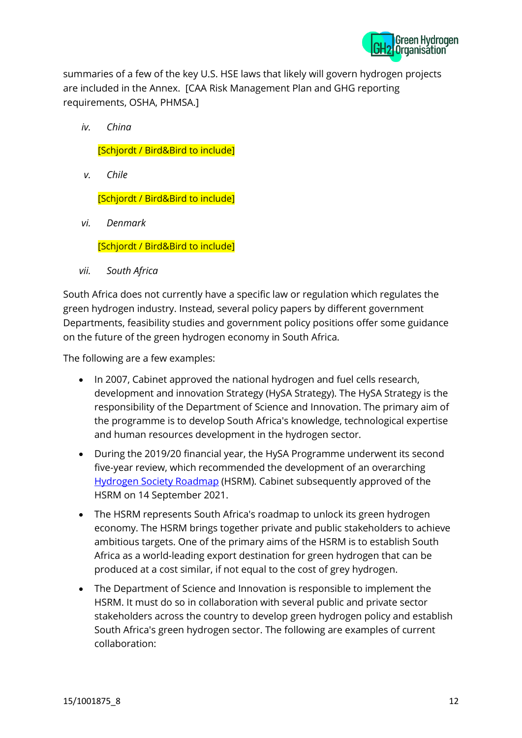

summaries of a few of the key U.S. HSE laws that likely will govern hydrogen projects are included in the Annex. [CAA Risk Management Plan and GHG reporting requirements, OSHA, PHMSA.]

*iv. China*

[Schjordt / Bird&Bird to include]

*v. Chile*

[Schjordt / Bird&Bird to include]

*vi. Denmark*

[Schjordt / Bird&Bird to include]

*vii. South Africa*

South Africa does not currently have a specific law or regulation which regulates the green hydrogen industry. Instead, several policy papers by different government Departments, feasibility studies and government policy positions offer some guidance on the future of the green hydrogen economy in South Africa.

The following are a few examples:

- In 2007, Cabinet approved the national hydrogen and fuel cells research, development and innovation Strategy (HySA Strategy). The HySA Strategy is the responsibility of the Department of Science and Innovation. The primary aim of the programme is to develop South Africa's knowledge, technological expertise and human resources development in the hydrogen sector.
- During the 2019/20 financial year, the HySA Programme underwent its second five-year review, which recommended the development of an overarching [Hydrogen Society Roadmap](https://www.dst.gov.za/images/South_African_Hydrogen_Society_RoadmapV1.pdf) (HSRM). Cabinet subsequently approved of the HSRM on 14 September 2021.
- The HSRM represents South Africa's roadmap to unlock its green hydrogen economy. The HSRM brings together private and public stakeholders to achieve ambitious targets. One of the primary aims of the HSRM is to establish South Africa as a world-leading export destination for green hydrogen that can be produced at a cost similar, if not equal to the cost of grey hydrogen.
- The Department of Science and Innovation is responsible to implement the HSRM. It must do so in collaboration with several public and private sector stakeholders across the country to develop green hydrogen policy and establish South Africa's green hydrogen sector. The following are examples of current collaboration: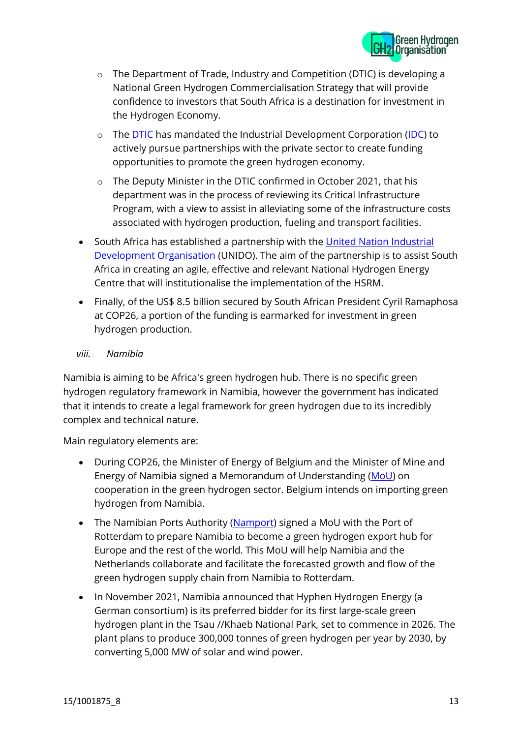

- o The Department of Trade, Industry and Competition (DTIC) is developing a National Green Hydrogen Commercialisation Strategy that will provide confidence to investors that South Africa is a destination for investment in the Hydrogen Economy.
- The **DTIC** has mandated the Industrial Development Corporation [\(IDC\)](https://www.idc.co.za/wp-content/uploads/2021/07/Fueling-a-hydrogen-economy.pdf) to actively pursue partnerships with the private sector to create funding opportunities to promote the green hydrogen economy.
- o The Deputy Minister in the DTIC confirmed in October 2021, that his department was in the process of reviewing its Critical Infrastructure Program, with a view to assist in alleviating some of the infrastructure costs associated with hydrogen production, fueling and transport facilities.
- South Africa has established a partnership with the United Nation Industrial [Development Organisation](https://www.unido.org/green-hydrogen) (UNIDO). The aim of the partnership is to assist South Africa in creating an agile, effective and relevant National Hydrogen Energy Centre that will institutionalise the implementation of the HSRM.
- Finally, of the US\$ 8.5 billion secured by South African President Cyril Ramaphosa at COP26, a portion of the funding is earmarked for investment in green hydrogen production.

#### *viii. Namibia*

Namibia is aiming to be Africa's green hydrogen hub. There is no specific green hydrogen regulatory framework in Namibia, however the government has indicated that it intends to create a legal framework for green hydrogen due to its incredibly complex and technical nature.

Main regulatory elements are:

- During COP26, the Minister of Energy of Belgium and the Minister of Mine and Energy of Namibia signed a Memorandum of Understanding [\(MoU\)](https://www.iea.org/policies/14754-belgium-namibia-mou-on-green-hydrogen) on cooperation in the green hydrogen sector. Belgium intends on importing green hydrogen from Namibia.
- The Namibian Ports Authority [\(Namport\)](https://www.namport.com.na/news/1021/namibian-ports-authority-namport-signs-a-memorandum-of-understanding-with-the-port-of-rotterdam-por-readying-itself-to-become-the-green-hydrogen-export-hub-for-europe-and-the-rest-of-the-world/) signed a MoU with the Port of Rotterdam to prepare Namibia to become a green hydrogen export hub for Europe and the rest of the world. This MoU will help Namibia and the Netherlands collaborate and facilitate the forecasted growth and flow of the green hydrogen supply chain from Namibia to Rotterdam.
- In November 2021, Namibia announced that Hyphen Hydrogen Energy (a German consortium) is its preferred bidder for its first large-scale green hydrogen plant in the Tsau //Khaeb National Park, set to commence in 2026. The plant plans to produce 300,000 tonnes of green hydrogen per year by 2030, by converting 5,000 MW of solar and wind power.